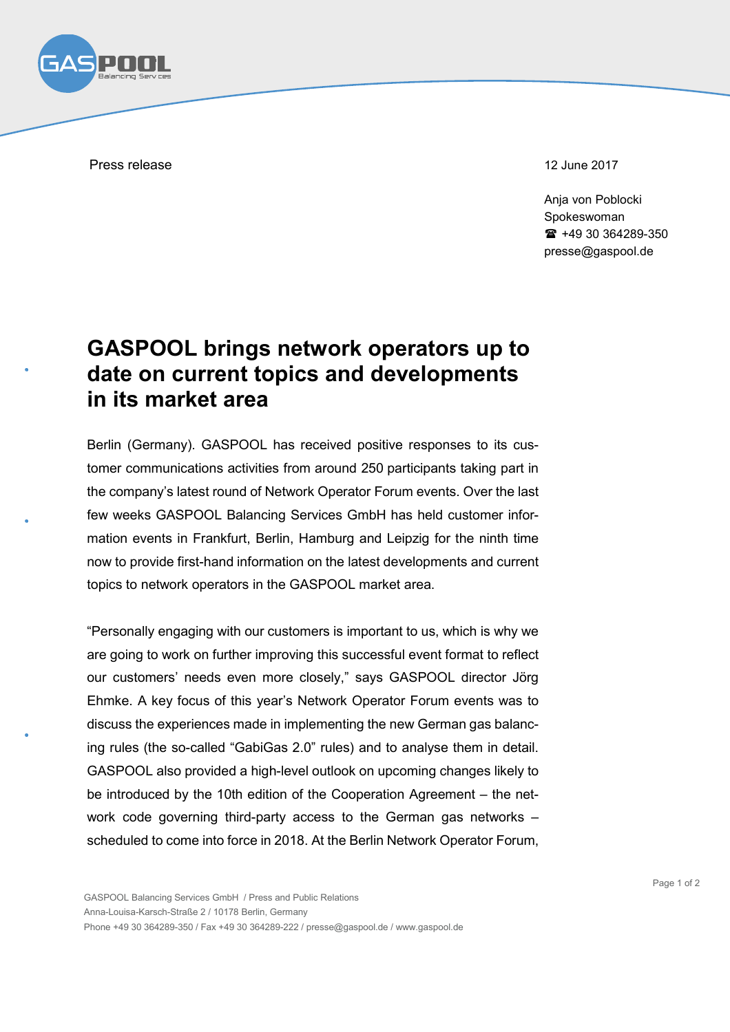

Press release 12 June 2017

Anja von Poblocki Spokeswoman +49 30 364289-350 presse@gaspool.de

## **GASPOOL brings network operators up to date on current topics and developments in its market area**

Berlin (Germany). GASPOOL has received positive responses to its customer communications activities from around 250 participants taking part in the company's latest round of Network Operator Forum events. Over the last few weeks GASPOOL Balancing Services GmbH has held customer information events in Frankfurt, Berlin, Hamburg and Leipzig for the ninth time now to provide first-hand information on the latest developments and current topics to network operators in the GASPOOL market area.

"Personally engaging with our customers is important to us, which is why we are going to work on further improving this successful event format to reflect our customers' needs even more closely," says GASPOOL director Jörg Ehmke. A key focus of this year's Network Operator Forum events was to discuss the experiences made in implementing the new German gas balancing rules (the so-called "GabiGas 2.0" rules) and to analyse them in detail. GASPOOL also provided a high-level outlook on upcoming changes likely to be introduced by the 10th edition of the Cooperation Agreement – the network code governing third-party access to the German gas networks – scheduled to come into force in 2018. At the Berlin Network Operator Forum,